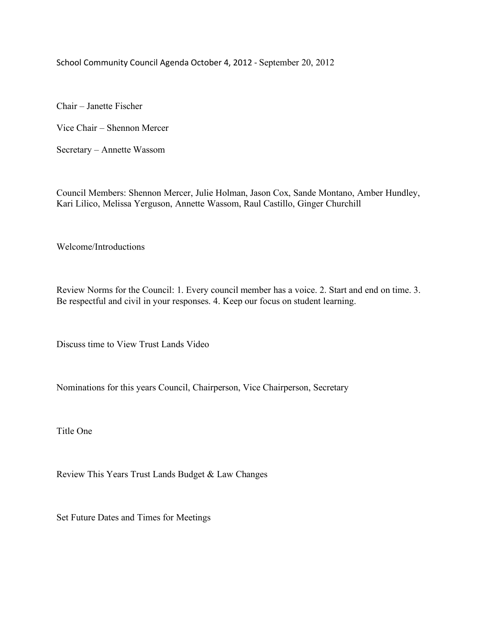School Community Council Agenda October 4, 2012 - September 20, 2012

Chair – Janette Fischer

Vice Chair – Shennon Mercer

Secretary – Annette Wassom

Council Members: Shennon Mercer, Julie Holman, Jason Cox, Sande Montano, Amber Hundley, Kari Lilico, Melissa Yerguson, Annette Wassom, Raul Castillo, Ginger Churchill

Welcome/Introductions

Review Norms for the Council: 1. Every council member has a voice. 2. Start and end on time. 3. Be respectful and civil in your responses. 4. Keep our focus on student learning.

Discuss time to View Trust Lands Video

Nominations for this years Council, Chairperson, Vice Chairperson, Secretary

Title One

Review This Years Trust Lands Budget & Law Changes

Set Future Dates and Times for Meetings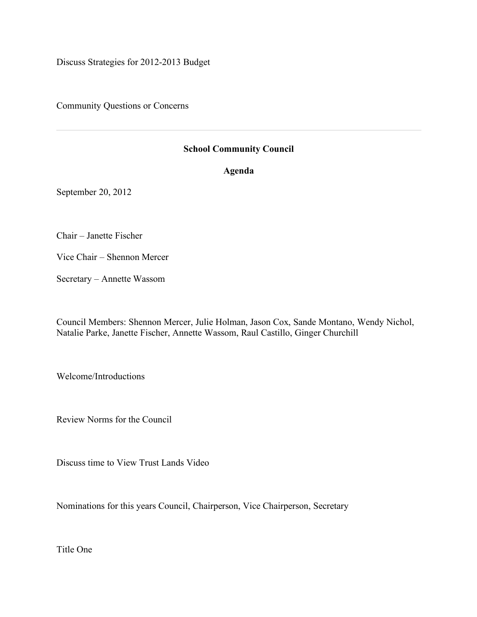Discuss Strategies for 2012-2013 Budget

Community Questions or Concerns

## **School Community Council**

**Agenda**

September 20, 2012

Chair – Janette Fischer

Vice Chair – Shennon Mercer

Secretary – Annette Wassom

Council Members: Shennon Mercer, Julie Holman, Jason Cox, Sande Montano, Wendy Nichol, Natalie Parke, Janette Fischer, Annette Wassom, Raul Castillo, Ginger Churchill

Welcome/Introductions

Review Norms for the Council

Discuss time to View Trust Lands Video

Nominations for this years Council, Chairperson, Vice Chairperson, Secretary

Title One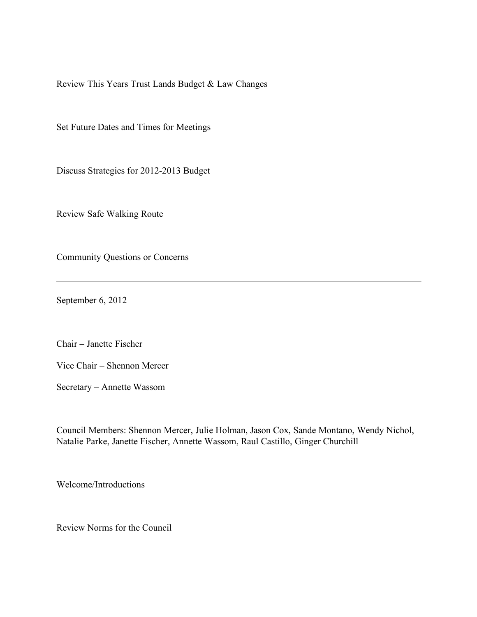Review This Years Trust Lands Budget & Law Changes

Set Future Dates and Times for Meetings

Discuss Strategies for 2012-2013 Budget

Review Safe Walking Route

Community Questions or Concerns

September 6, 2012

Chair – Janette Fischer

Vice Chair – Shennon Mercer

Secretary – Annette Wassom

Council Members: Shennon Mercer, Julie Holman, Jason Cox, Sande Montano, Wendy Nichol, Natalie Parke, Janette Fischer, Annette Wassom, Raul Castillo, Ginger Churchill

Welcome/Introductions

Review Norms for the Council